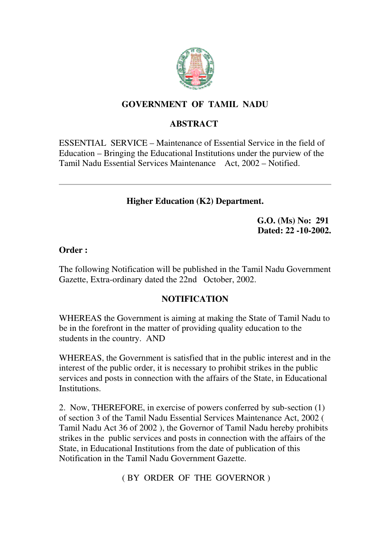

## **GOVERNMENT OF TAMIL NADU**

# **ABSTRACT**

ESSENTIAL SERVICE – Maintenance of Essential Service in the field of Education – Bringing the Educational Institutions under the purview of the Tamil Nadu Essential Services Maintenance Act, 2002 – Notified.

## **Higher Education (K2) Department.**

**G.O. (Ms) No: 291 Dated: 22 -10-2002.**

#### **Order :**

The following Notification will be published in the Tamil Nadu Government Gazette, Extra-ordinary dated the 22nd October, 2002.

## **NOTIFICATION**

WHEREAS the Government is aiming at making the State of Tamil Nadu to be in the forefront in the matter of providing quality education to the students in the country. AND

WHEREAS, the Government is satisfied that in the public interest and in the interest of the public order, it is necessary to prohibit strikes in the public services and posts in connection with the affairs of the State, in Educational Institutions.

2. Now, THEREFORE, in exercise of powers conferred by sub-section (1) of section 3 of the Tamil Nadu Essential Services Maintenance Act, 2002 ( Tamil Nadu Act 36 of 2002 ), the Governor of Tamil Nadu hereby prohibits strikes in the public services and posts in connection with the affairs of the State, in Educational Institutions from the date of publication of this Notification in the Tamil Nadu Government Gazette.

( BY ORDER OF THE GOVERNOR )